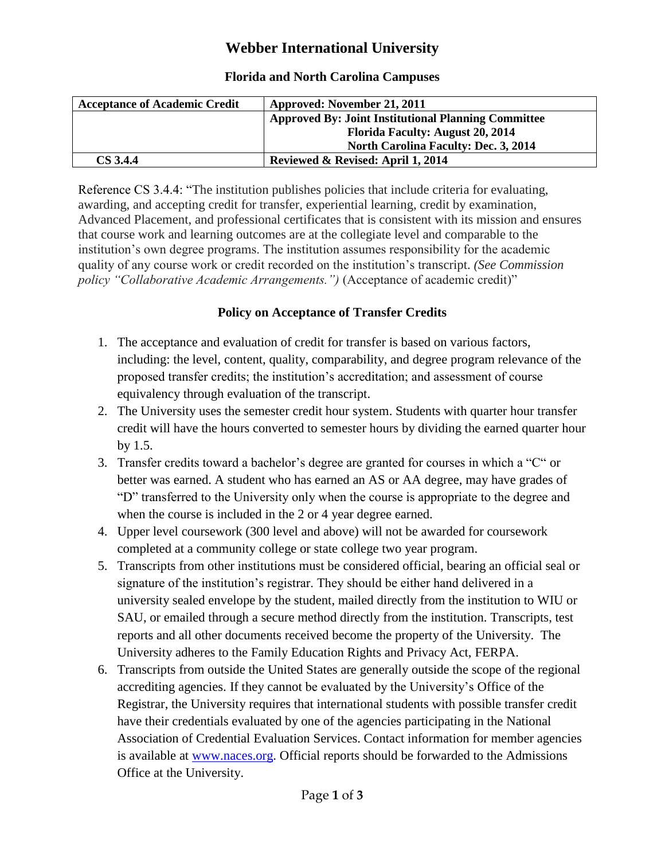# **Webber International University**

## **Florida and North Carolina Campuses**

| <b>Acceptance of Academic Credit</b> | Approved: November 21, 2011                                |
|--------------------------------------|------------------------------------------------------------|
|                                      | <b>Approved By: Joint Institutional Planning Committee</b> |
|                                      | <b>Florida Faculty: August 20, 2014</b>                    |
|                                      | <b>North Carolina Faculty: Dec. 3, 2014</b>                |
| <b>CS 3.4.4</b>                      | Reviewed & Revised: April 1, 2014                          |

Reference CS 3.4.4: "The institution publishes policies that include criteria for evaluating, awarding, and accepting credit for transfer, experiential learning, credit by examination, Advanced Placement, and professional certificates that is consistent with its mission and ensures that course work and learning outcomes are at the collegiate level and comparable to the institution's own degree programs. The institution assumes responsibility for the academic quality of any course work or credit recorded on the institution's transcript. *(See Commission policy "Collaborative Academic Arrangements.")* (Acceptance of academic credit)"

#### **Policy on Acceptance of Transfer Credits**

- 1. The acceptance and evaluation of credit for transfer is based on various factors, including: the level, content, quality, comparability, and degree program relevance of the proposed transfer credits; the institution's accreditation; and assessment of course equivalency through evaluation of the transcript.
- 2. The University uses the semester credit hour system. Students with quarter hour transfer credit will have the hours converted to semester hours by dividing the earned quarter hour by 1.5.
- 3. Transfer credits toward a bachelor's degree are granted for courses in which a "C" or better was earned. A student who has earned an AS or AA degree, may have grades of "D" transferred to the University only when the course is appropriate to the degree and when the course is included in the 2 or 4 year degree earned.
- 4. Upper level coursework (300 level and above) will not be awarded for coursework completed at a community college or state college two year program.
- 5. Transcripts from other institutions must be considered official, bearing an official seal or signature of the institution's registrar. They should be either hand delivered in a university sealed envelope by the student, mailed directly from the institution to WIU or SAU, or emailed through a secure method directly from the institution. Transcripts, test reports and all other documents received become the property of the University. The University adheres to the Family Education Rights and Privacy Act, FERPA.
- 6. Transcripts from outside the United States are generally outside the scope of the regional accrediting agencies. If they cannot be evaluated by the University's Office of the Registrar, the University requires that international students with possible transfer credit have their credentials evaluated by one of the agencies participating in the National Association of Credential Evaluation Services. Contact information for member agencies is available at [www.naces.org.](http://www.naces.org/) Official reports should be forwarded to the Admissions Office at the University.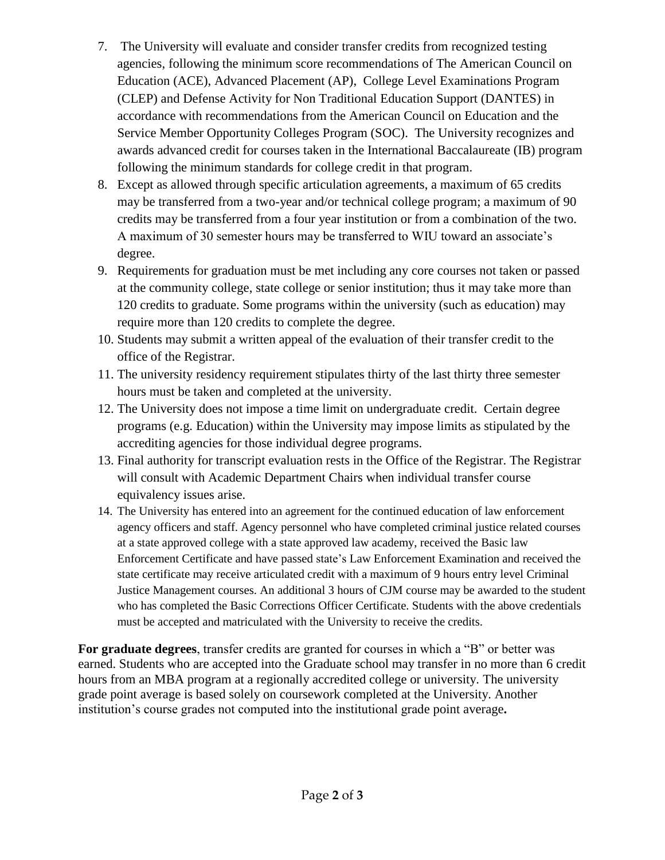- 7. The University will evaluate and consider transfer credits from recognized testing agencies, following the minimum score recommendations of The American Council on Education (ACE), Advanced Placement (AP), College Level Examinations Program (CLEP) and Defense Activity for Non Traditional Education Support (DANTES) in accordance with recommendations from the American Council on Education and the Service Member Opportunity Colleges Program (SOC). The University recognizes and awards advanced credit for courses taken in the International Baccalaureate (IB) program following the minimum standards for college credit in that program.
- 8. Except as allowed through specific articulation agreements, a maximum of 65 credits may be transferred from a two-year and/or technical college program; a maximum of 90 credits may be transferred from a four year institution or from a combination of the two. A maximum of 30 semester hours may be transferred to WIU toward an associate's degree.
- 9. Requirements for graduation must be met including any core courses not taken or passed at the community college, state college or senior institution; thus it may take more than 120 credits to graduate. Some programs within the university (such as education) may require more than 120 credits to complete the degree.
- 10. Students may submit a written appeal of the evaluation of their transfer credit to the office of the Registrar.
- 11. The university residency requirement stipulates thirty of the last thirty three semester hours must be taken and completed at the university.
- 12. The University does not impose a time limit on undergraduate credit. Certain degree programs (e.g. Education) within the University may impose limits as stipulated by the accrediting agencies for those individual degree programs.
- 13. Final authority for transcript evaluation rests in the Office of the Registrar. The Registrar will consult with Academic Department Chairs when individual transfer course equivalency issues arise.
- 14. The University has entered into an agreement for the continued education of law enforcement agency officers and staff. Agency personnel who have completed criminal justice related courses at a state approved college with a state approved law academy, received the Basic law Enforcement Certificate and have passed state's Law Enforcement Examination and received the state certificate may receive articulated credit with a maximum of 9 hours entry level Criminal Justice Management courses. An additional 3 hours of CJM course may be awarded to the student who has completed the Basic Corrections Officer Certificate. Students with the above credentials must be accepted and matriculated with the University to receive the credits.

**For graduate degrees**, transfer credits are granted for courses in which a "B" or better was earned. Students who are accepted into the Graduate school may transfer in no more than 6 credit hours from an MBA program at a regionally accredited college or university. The university grade point average is based solely on coursework completed at the University. Another institution's course grades not computed into the institutional grade point average**.**